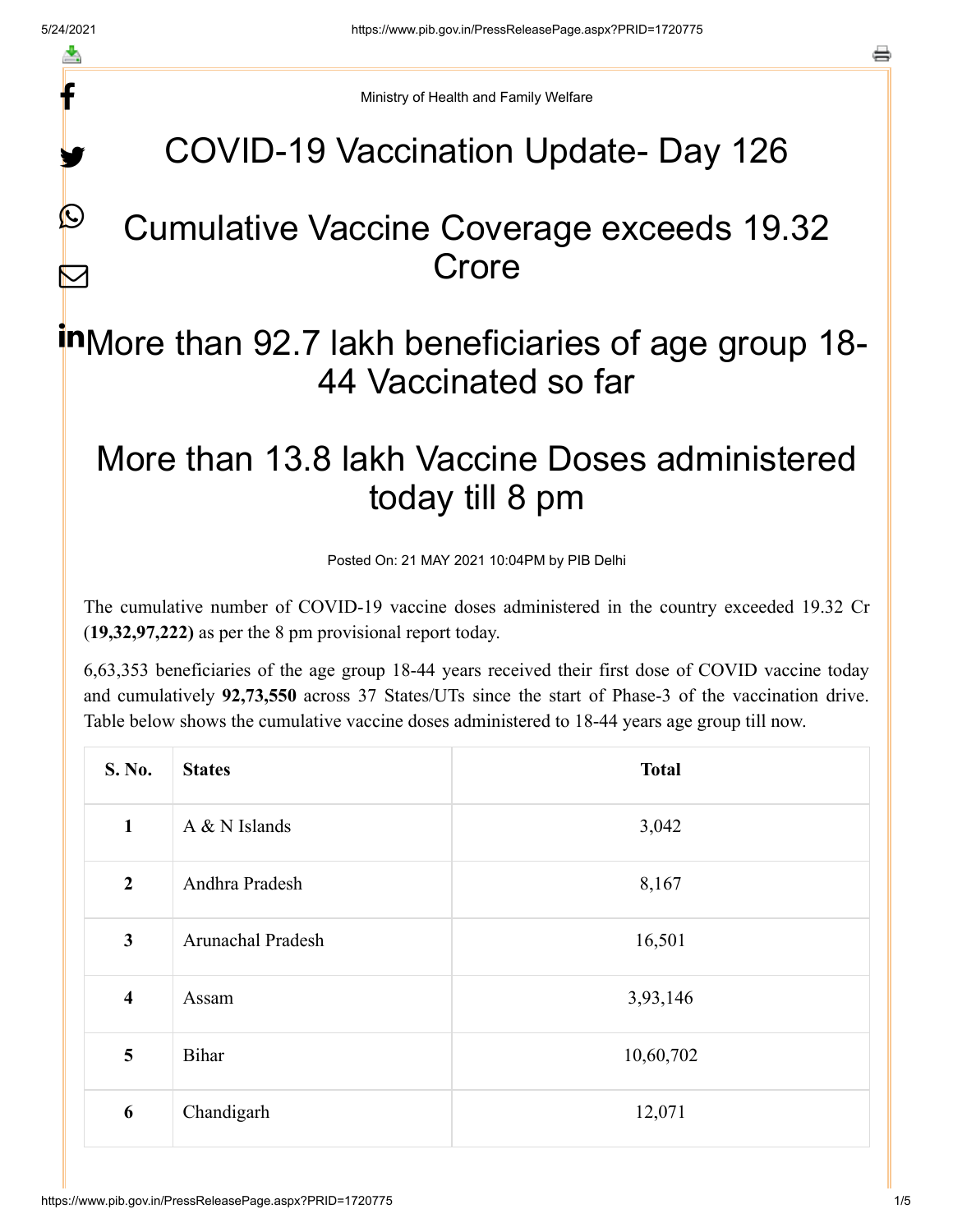f

y.

 $\mathcal{Q}$ 

 $\bf \nabla$ 

a

Ministry of Health and Family Welfare

## COVID-19 Vaccination Update- Day 126

#### Cumulative Vaccine Coverage exceeds 19.32 **Crore**

# inMore than 92.7 lakh beneficiaries of age group 18-44 Vaccinated so far

## More than 13.8 lakh Vaccine Doses administered today till 8 pm

Posted On: 21 MAY 2021 10:04PM by PIB Delhi

The cumulative number of COVID-19 vaccine doses administered in the country exceeded 19.32 Cr (**19,32,97,222)** as per the 8 pm provisional report today.

6,63,353 beneficiaries of the age group 18-44 years received their first dose of COVID vaccine today and cumulatively **92,73,550** across 37 States/UTs since the start of Phase-3 of the vaccination drive. Table below shows the cumulative vaccine doses administered to 18-44 years age group till now.

| S. No.                  | <b>States</b>     | <b>Total</b> |
|-------------------------|-------------------|--------------|
| $\mathbf{1}$            | A & N Islands     | 3,042        |
| $\boldsymbol{2}$        | Andhra Pradesh    | 8,167        |
| $\mathbf{3}$            | Arunachal Pradesh | 16,501       |
| $\overline{\mathbf{4}}$ | Assam             | 3,93,146     |
| 5                       | <b>Bihar</b>      | 10,60,702    |
| 6                       | Chandigarh        | 12,071       |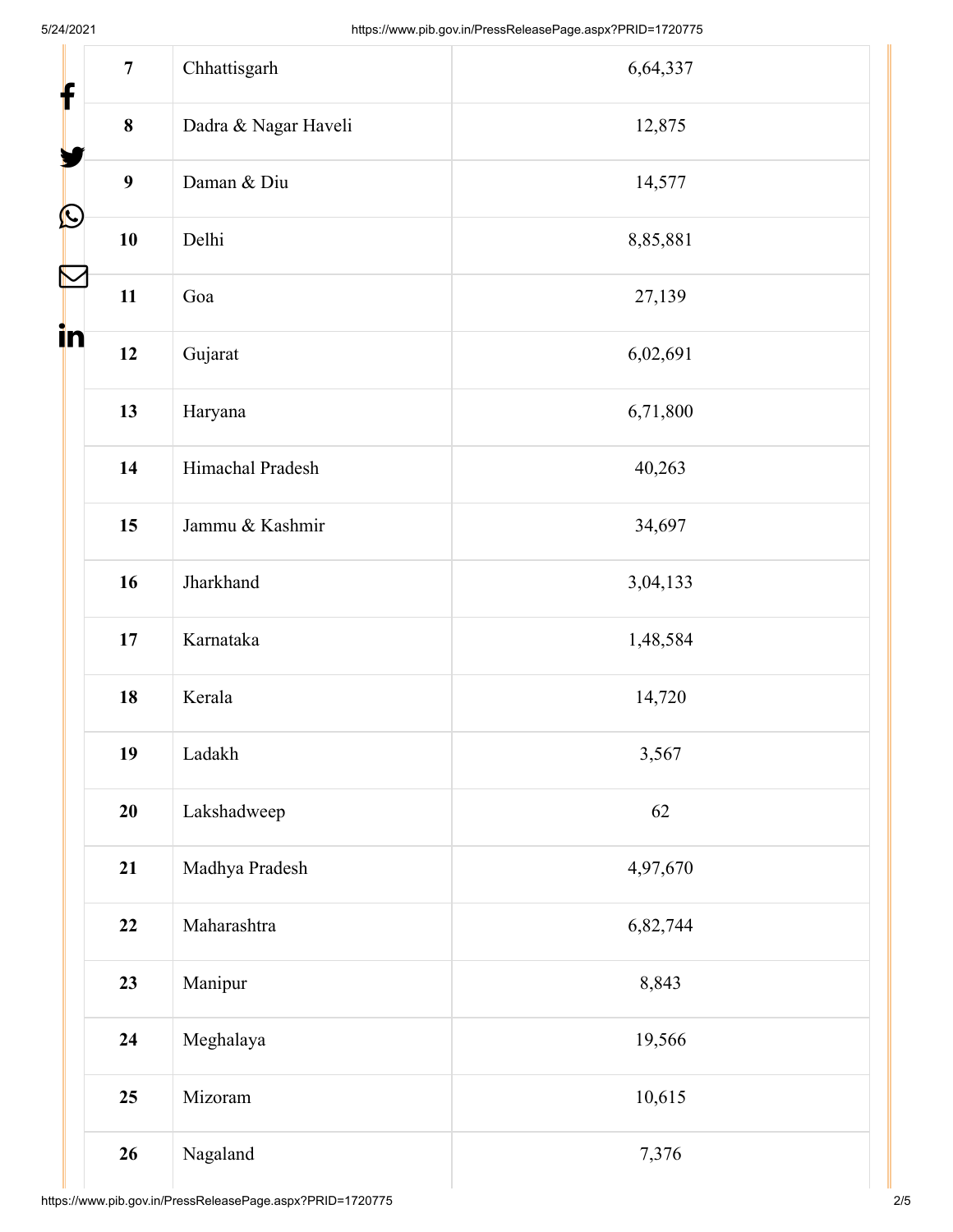| $\overline{7}$                                                                                                                                                                                              |                      |          |
|-------------------------------------------------------------------------------------------------------------------------------------------------------------------------------------------------------------|----------------------|----------|
| $\mathbf{f}$                                                                                                                                                                                                | Chhattisgarh         | 6,64,337 |
| $\bf{8}$                                                                                                                                                                                                    | Dadra & Nagar Haveli | 12,875   |
| $\boldsymbol{9}$                                                                                                                                                                                            | Daman & Diu          | 14,577   |
| $\bigcirc$<br>10                                                                                                                                                                                            | Delhi                | 8,85,881 |
| $\sum_{ }% \left[ \begin{array}{cc} \vspace{1cm} \vspace{1cm} \vspace{1cm} \vspace{1cm} \vspace{1cm} \right] & \quad \vspace{0.5cm} \vspace{0.5cm} \vspace{0.5cm} \end{array} \right] \label{eq:2.1}$<br>11 | Goa                  | 27,139   |
| in<br>12                                                                                                                                                                                                    | Gujarat              | 6,02,691 |
| 13                                                                                                                                                                                                          | Haryana              | 6,71,800 |
| 14                                                                                                                                                                                                          | Himachal Pradesh     | 40,263   |
| 15                                                                                                                                                                                                          | Jammu & Kashmir      | 34,697   |
| 16                                                                                                                                                                                                          | Jharkhand            | 3,04,133 |
| $17\,$                                                                                                                                                                                                      | Karnataka            | 1,48,584 |
| 18                                                                                                                                                                                                          | Kerala               | 14,720   |
| 19                                                                                                                                                                                                          | Ladakh               | 3,567    |
| 20                                                                                                                                                                                                          | Lakshadweep          | 62       |
| 21                                                                                                                                                                                                          | Madhya Pradesh       | 4,97,670 |
| 22                                                                                                                                                                                                          | Maharashtra          | 6,82,744 |
| 23                                                                                                                                                                                                          | Manipur              | 8,843    |
| 24                                                                                                                                                                                                          | Meghalaya            | 19,566   |
| 25                                                                                                                                                                                                          | Mizoram              | 10,615   |
| 26                                                                                                                                                                                                          | Nagaland             | 7,376    |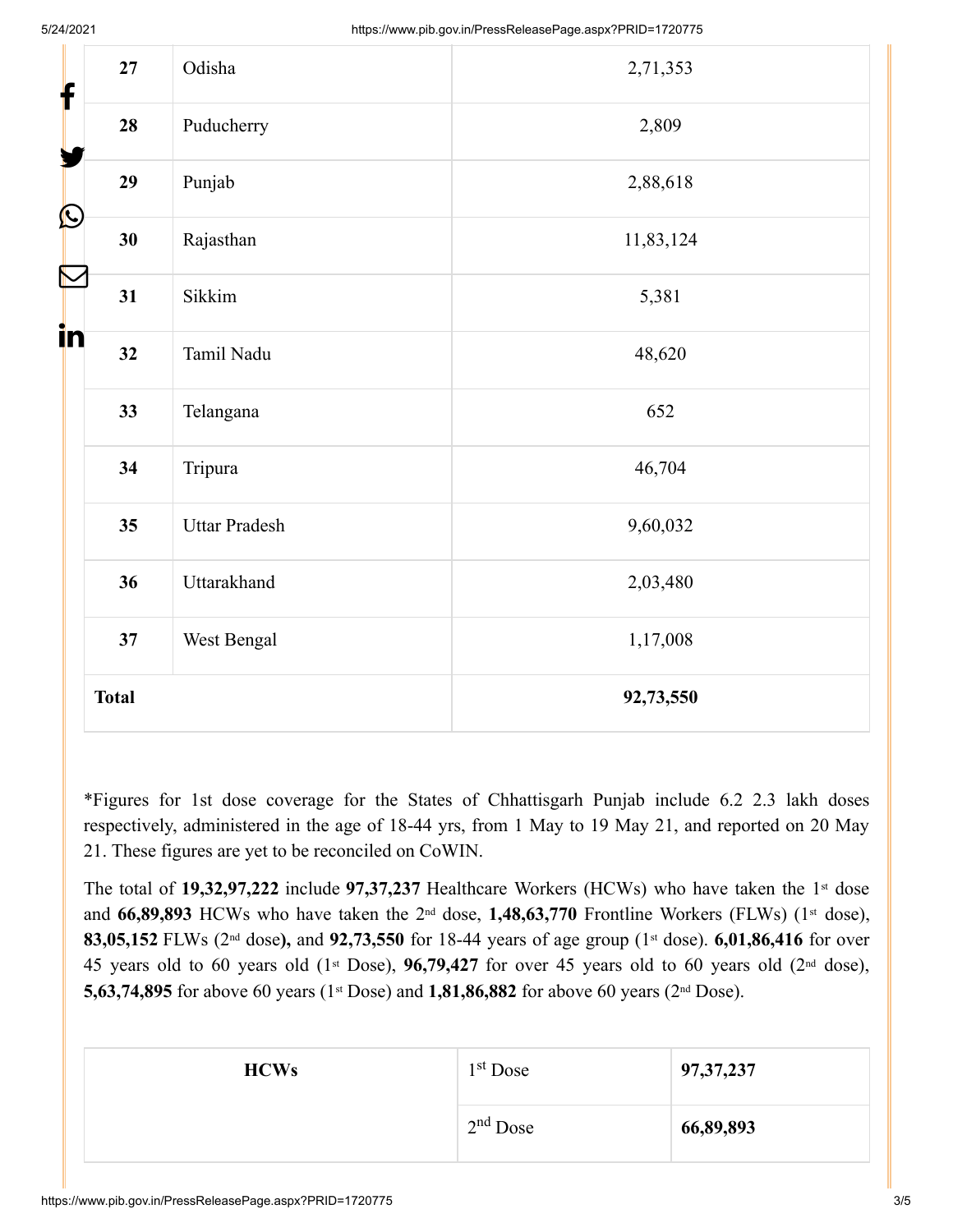| f                 | 27           | Odisha               | 2,71,353  |
|-------------------|--------------|----------------------|-----------|
|                   | 28           | Puducherry           | 2,809     |
|                   | 29           | Punjab               | 2,88,618  |
| $\bigcirc$        | 30           | Rajasthan            | 11,83,124 |
| $\color{red}\sum$ | 31           | Sikkim               | 5,381     |
| in                | 32           | Tamil Nadu           | 48,620    |
|                   | 33           | Telangana            | 652       |
|                   | 34           | Tripura              | 46,704    |
|                   | 35           | <b>Uttar Pradesh</b> | 9,60,032  |
|                   | 36           | Uttarakhand          | 2,03,480  |
|                   | 37           | West Bengal          | 1,17,008  |
|                   | <b>Total</b> |                      | 92,73,550 |

\*Figures for 1st dose coverage for the States of Chhattisgarh Punjab include 6.2 2.3 lakh doses respectively, administered in the age of 18-44 yrs, from 1 May to 19 May 21, and reported on 20 May 21. These figures are yet to be reconciled on CoWIN.

The total of  $19,32,97,222$  include  $97,37,237$  Healthcare Workers (HCWs) who have taken the 1<sup>st</sup> dose and 66,89,893 HCWs who have taken the 2<sup>nd</sup> dose, 1,48,63,770 Frontline Workers (FLWs) (1<sup>st</sup> dose), 83,05,152 FLWs (2<sup>nd</sup> dose), and 92,73,550 for 18-44 years of age group (1<sup>st</sup> dose). 6,01,86,416 for over 45 years old to 60 years old  $(1<sup>st</sup> Does), 96,79,427$  for over 45 years old to 60 years old  $(2<sup>nd</sup> dose),$ **5,63,74,895** for above 60 years (1<sup>st</sup> Dose) and **1,81,86,882** for above 60 years (2<sup>nd</sup> Dose).

| <b>HCWs</b> | 1 <sup>st</sup> Dose | 97, 37, 237 |
|-------------|----------------------|-------------|
|             | $2nd$ Dose           | 66,89,893   |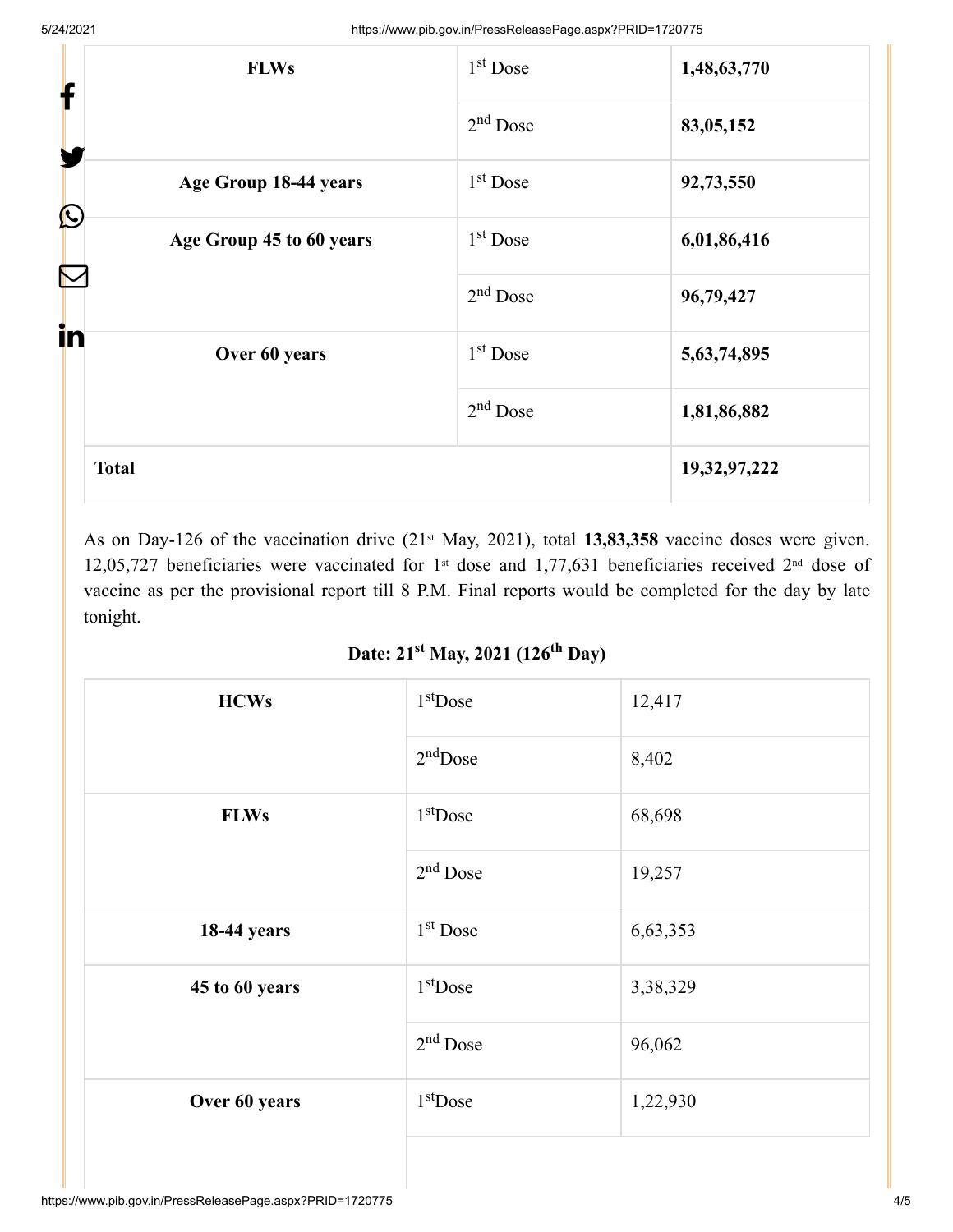| <b>FLWs</b><br>f                    | $1st$ Dose           | 1,48,63,770    |
|-------------------------------------|----------------------|----------------|
| Y                                   | $2nd$ Dose           | 83,05,152      |
| Age Group 18-44 years<br>$\bigcirc$ | 1 <sup>st</sup> Dose | 92,73,550      |
| Age Group 45 to 60 years            | $1st$ Dose           | 6,01,86,416    |
|                                     | $2nd$ Dose           | 96,79,427      |
| in<br>Over 60 years                 | 1 <sup>st</sup> Dose | 5, 63, 74, 895 |
|                                     | $2nd$ Dose           | 1,81,86,882    |
| <b>Total</b>                        |                      | 19,32,97,222   |

As on Day-126 of the vaccination drive (21<sup>st</sup> May, 2021), total **13,83,358** vaccine doses were given. 12,05,727 beneficiaries were vaccinated for 1<sup>st</sup> dose and 1,77,631 beneficiaries received 2<sup>nd</sup> dose of vaccine as per the provisional report till 8 P.M. Final reports would be completed for the day by late tonight.

Date: 21<sup>st</sup> May, 2021 (126<sup>th</sup> Day)

| <b>HCWs</b>        | $1st$ Dose | 12,417   |
|--------------------|------------|----------|
|                    | $2nd$ Dose | 8,402    |
| <b>FLWs</b>        | $1st$ Dose | 68,698   |
|                    | $2nd$ Dose | 19,257   |
| <b>18-44 years</b> | $1st$ Dose | 6,63,353 |
| 45 to 60 years     | $1st$ Dose | 3,38,329 |
|                    | $2nd$ Dose | 96,062   |
| Over 60 years      | $1st$ Dose | 1,22,930 |
|                    |            |          |